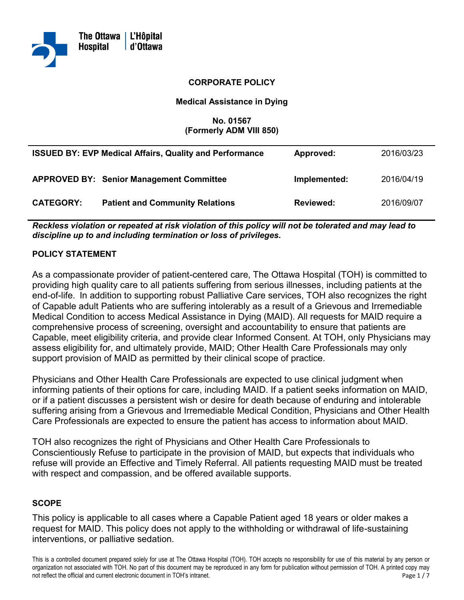

#### **CORPORATE POLICY**

#### **Medical Assistance in Dying**

#### **No. 01567 (Formerly ADM VIII 850)**

|                  | <b>ISSUED BY: EVP Medical Affairs, Quality and Performance</b> | Approved:        | 2016/03/23 |
|------------------|----------------------------------------------------------------|------------------|------------|
|                  | <b>APPROVED BY: Senior Management Committee</b>                | Implemented:     | 2016/04/19 |
| <b>CATEGORY:</b> | <b>Patient and Community Relations</b>                         | <b>Reviewed:</b> | 2016/09/07 |

 *Reckless violation or repeated at risk violation of this policy will not be tolerated and may lead to discipline up to and including termination or loss of privileges.* 

#### **POLICY STATEMENT**

 As a compassionate provider of patient-centered care, The Ottawa Hospital (TOH) is committed to end-of-life. In addition to supporting robust Palliative Care services, TOH also recognizes the right of Capable adult Patients who are suffering intolerably as a result of a Grievous and Irremediable Capable, meet eligibility criteria, and provide clear Informed Consent. At TOH, only Physicians may support provision of MAID as permitted by their clinical scope of practice. providing high quality care to all patients suffering from serious illnesses, including patients at the Medical Condition to access Medical Assistance in Dying (MAID). All requests for MAID require a comprehensive process of screening, oversight and accountability to ensure that patients are assess eligibility for, and ultimately provide, MAID; Other Health Care Professionals may only

 Physicians and Other Health Care Professionals are expected to use clinical judgment when or if a patient discusses a persistent wish or desire for death because of enduring and intolerable suffering arising from a Grievous and Irremediable Medical Condition, Physicians and Other Health informing patients of their options for care, including MAID. If a patient seeks information on MAID, Care Professionals are expected to ensure the patient has access to information about MAID.

 TOH also recognizes the right of Physicians and Other Health Care Professionals to Conscientiously Refuse to participate in the provision of MAID, but expects that individuals who refuse will provide an Effective and Timely Referral. All patients requesting MAID must be treated with respect and compassion, and be offered available supports.

#### **SCOPE**

 This policy is applicable to all cases where a Capable Patient aged 18 years or older makes a request for MAID. This policy does not apply to the withholding or withdrawal of life-sustaining interventions, or palliative sedation.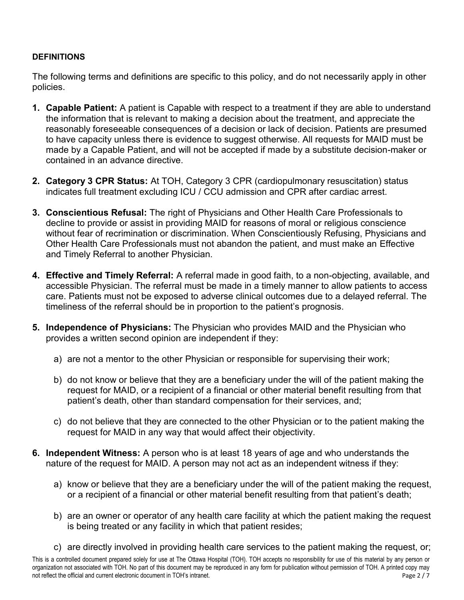## **DEFINITIONS**

 policies. The following terms and definitions are specific to this policy, and do not necessarily apply in other

- made by a Capable Patient, and will not be accepted if made by a substitute decision-maker or **1. Capable Patient:** A patient is Capable with respect to a treatment if they are able to understand the information that is relevant to making a decision about the treatment, and appreciate the reasonably foreseeable consequences of a decision or lack of decision. Patients are presumed to have capacity unless there is evidence to suggest otherwise. All requests for MAID must be contained in an advance directive.
- indicates full treatment excluding ICU / CCU admission and CPR after cardiac arrest. **2. Category 3 CPR Status:** At TOH, Category 3 CPR (cardiopulmonary resuscitation) status
- **3. Conscientious Refusal:** The right of Physicians and Other Health Care Professionals to without fear of recrimination or discrimination. When Conscientiously Refusing, Physicians and Other Health Care Professionals must not abandon the patient, and must make an Effective and Timely Referral to another Physician. decline to provide or assist in providing MAID for reasons of moral or religious conscience
- **4. Effective and Timely Referral:** A referral made in good faith, to a non-objecting, available, and care. Patients must not be exposed to adverse clinical outcomes due to a delayed referral. The accessible Physician. The referral must be made in a timely manner to allow patients to access timeliness of the referral should be in proportion to the patient's prognosis.
- **5. Independence of Physicians:** The Physician who provides MAID and the Physician who provides a written second opinion are independent if they:
	- a) are not a mentor to the other Physician or responsible for supervising their work;
	- b) do not know or believe that they are a beneficiary under the will of the patient making the patient's death, other than standard compensation for their services, and; request for MAID, or a recipient of a financial or other material benefit resulting from that
	- c) do not believe that they are connected to the other Physician or to the patient making the request for MAID in any way that would affect their objectivity.
- nature of the request for MAID. A person may not act as an independent witness if they: **6. Independent Witness:** A person who is at least 18 years of age and who understands the
	- a) know or believe that they are a beneficiary under the will of the patient making the request, or a recipient of a financial or other material benefit resulting from that patient's death;
	- is being treated or any facility in which that patient resides; b) are an owner or operator of any health care facility at which the patient making the request
	- c) are directly involved in providing health care services to the patient making the request, or;

 This is a controlled document prepared solely for use at The Ottawa Hospital (TOH). TOH accepts no responsibility for use of this material by any person or organization not associated with TOH. No part of this document may be reproduced in any form for publication without permission of TOH. A printed copy may Page 2 / 7 not reflect the official and current electronic document in TOH's intranet.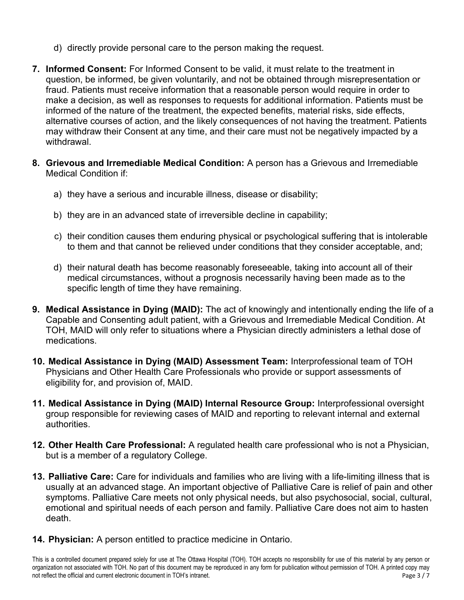- d) directly provide personal care to the person making the request.
- fraud. Patients must receive information that a reasonable person would require in order to informed of the nature of the treatment, the expected benefits, material risks, side effects, may withdraw their Consent at any time, and their care must not be negatively impacted by a **7. Informed Consent:** For Informed Consent to be valid, it must relate to the treatment in question, be informed, be given voluntarily, and not be obtained through misrepresentation or make a decision, as well as responses to requests for additional information. Patients must be alternative courses of action, and the likely consequences of not having the treatment. Patients withdrawal.
- **8. Grievous and Irremediable Medical Condition:** A person has a Grievous and Irremediable Medical Condition if:
	- a) they have a serious and incurable illness, disease or disability;
	- b) they are in an advanced state of irreversible decline in capability;
	- c) their condition causes them enduring physical or psychological suffering that is intolerable to them and that cannot be relieved under conditions that they consider acceptable, and;
	- medical circumstances, without a prognosis necessarily having been made as to the  specific length of time they have remaining.d) their natural death has become reasonably foreseeable, taking into account all of their
- Capable and Consenting adult patient, with a Grievous and Irremediable Medical Condition. At **9. Medical Assistance in Dying (MAID):** The act of knowingly and intentionally ending the life of a TOH, MAID will only refer to situations where a Physician directly administers a lethal dose of medications.
- Physicians and Other Health Care Professionals who provide or support assessments of **10. Medical Assistance in Dying (MAID) Assessment Team:** Interprofessional team of TOH eligibility for, and provision of, MAID.
- **11. Medical Assistance in Dying (MAID) Internal Resource Group:** Interprofessional oversight group responsible for reviewing cases of MAID and reporting to relevant internal and external authorities.
- **12. Other Health Care Professional:** A regulated health care professional who is not a Physician, but is a member of a regulatory College.
- **13. Palliative Care:** Care for individuals and families who are living with a life-limiting illness that is usually at an advanced stage. An important objective of Palliative Care is relief of pain and other emotional and spiritual needs of each person and family. Palliative Care does not aim to hasten symptoms. Palliative Care meets not only physical needs, but also psychosocial, social, cultural, death.
- **14. Physician:** A person entitled to practice medicine in Ontario.

 This is a controlled document prepared solely for use at The Ottawa Hospital (TOH). TOH accepts no responsibility for use of this material by any person or organization not associated with TOH. No part of this document may be reproduced in any form for publication without permission of TOH. A printed copy may Page 3/7 not reflect the official and current electronic document in TOH's intranet.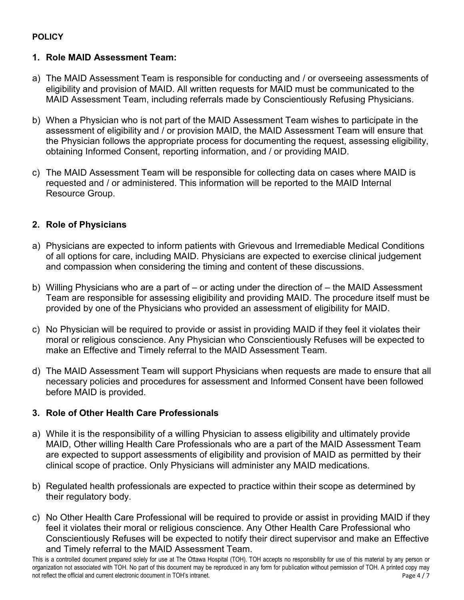## **POLICY**

# **POLICY 1. Role MAID Assessment Team:**

- a) The MAID Assessment Team is responsible for conducting and / or overseeing assessments of eligibility and provision of MAID. All written requests for MAID must be communicated to the MAID Assessment Team, including referrals made by Conscientiously Refusing Physicians.
- b) When a Physician who is not part of the MAID Assessment Team wishes to participate in the assessment of eligibility and / or provision MAID, the MAID Assessment Team will ensure that the Physician follows the appropriate process for documenting the request, assessing eligibility, obtaining Informed Consent, reporting information, and / or providing MAID.
- requested and / or administered. This information will be reported to the MAID Internal c) The MAID Assessment Team will be responsible for collecting data on cases where MAID is Resource Group.

# **2. Role of Physicians**

- a) Physicians are expected to inform patients with Grievous and Irremediable Medical Conditions of all options for care, including MAID. Physicians are expected to exercise clinical judgement and compassion when considering the timing and content of these discussions.
- b) Willing Physicians who are a part of or acting under the direction of the MAID Assessment Team are responsible for assessing eligibility and providing MAID. The procedure itself must be provided by one of the Physicians who provided an assessment of eligibility for MAID.
- c) No Physician will be required to provide or assist in providing MAID if they feel it violates their moral or religious conscience. Any Physician who Conscientiously Refuses will be expected to make an Effective and Timely referral to the MAID Assessment Team.
- d) The MAID Assessment Team will support Physicians when requests are made to ensure that all necessary policies and procedures for assessment and Informed Consent have been followed before MAID is provided.

## **3. Role of Other Health Care Professionals**

- a) While it is the responsibility of a willing Physician to assess eligibility and ultimately provide MAID, Other willing Health Care Professionals who are a part of the MAID Assessment Team are expected to support assessments of eligibility and provision of MAID as permitted by their clinical scope of practice. Only Physicians will administer any MAID medications.
- b) Regulated health professionals are expected to practice within their scope as determined by their regulatory body.
- c) No Other Health Care Professional will be required to provide or assist in providing MAID if they Conscientiously Refuses will be expected to notify their direct supervisor and make an Effective and Timely referral to the MAID Assessment Team. feel it violates their moral or religious conscience. Any Other Health Care Professional who

 This is a controlled document prepared solely for use at The Ottawa Hospital (TOH). TOH accepts no responsibility for use of this material by any person or organization not associated with TOH. No part of this document may be reproduced in any form for publication without permission of TOH. A printed copy may Page 4 / 7 not reflect the official and current electronic document in TOH's intranet.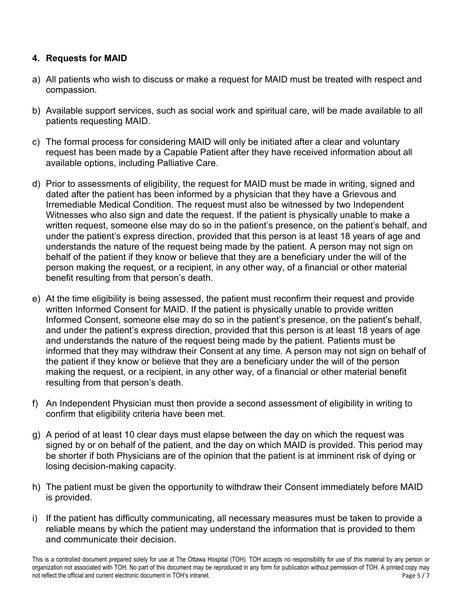## **4. Requests for MAID**

- a) All patients who wish to discuss or make a request for MAID must be treated with respect and compassion.
- b) Available support services, such as social work and spiritual care, will be made available to all patients requesting MAID.
- c) The formal process for considering MAID will only be initiated after a clear and voluntary request has been made by a Capable Patient after they have received information about all available options, including Palliative Care.
- d) Prior to assessments of eligibility, the request for MAID must be made in writing, signed and dated after the patient has been informed by a physician that they have a Grievous and Witnesses who also sign and date the request. If the patient is physically unable to make a under the patient's express direction, provided that this person is at least 18 years of age and benefit resulting from that person's death. Irremediable Medical Condition. The request must also be witnessed by two Independent written request, someone else may do so in the patient's presence, on the patient's behalf, and understands the nature of the request being made by the patient. A person may not sign on behalf of the patient if they know or believe that they are a beneficiary under the will of the person making the request, or a recipient, in any other way, of a financial or other material
- e) At the time eligibility is being assessed, the patient must reconfirm their request and provide written Informed Consent for MAID. If the patient is physically unable to provide written and under the patient's express direction, provided that this person is at least 18 years of age informed that they may withdraw their Consent at any time. A person may not sign on behalf of the patient if they know or believe that they are a beneficiary under the will of the person making the request, or a recipient, in any other way, of a financial or other material benefit Informed Consent, someone else may do so in the patient's presence, on the patient's behalf, and understands the nature of the request being made by the patient. Patients must be resulting from that person's death.
- f) An Independent Physician must then provide a second assessment of eligibility in writing to confirm that eligibility criteria have been met.
- g) A period of at least 10 clear days must elapse between the day on which the request was signed by or on behalf of the patient, and the day on which MAID is provided. This period may be shorter if both Physicians are of the opinion that the patient is at imminent risk of dying or losing decision-making capacity.
- h) The patient must be given the opportunity to withdraw their Consent immediately before MAID is provided.
- i) If the patient has difficulty communicating, all necessary measures must be taken to provide a reliable means by which the patient may understand the information that is provided to them and communicate their decision.

 This is a controlled document prepared solely for use at The Ottawa Hospital (TOH). TOH accepts no responsibility for use of this material by any person or organization not associated with TOH. No part of this document may be reproduced in any form for publication without permission of TOH. A printed copy may Page 5/7 not reflect the official and current electronic document in TOH's intranet.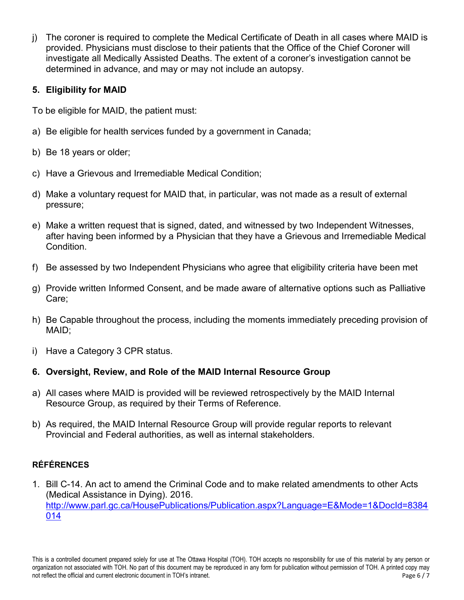investigate all Medically Assisted Deaths. The extent of a coroner's investigation cannot be determined in advance, and may or may not include an autopsy. j) The coroner is required to complete the Medical Certificate of Death in all cases where MAID is provided. Physicians must disclose to their patients that the Office of the Chief Coroner will

## **5. Eligibility for MAID**

To be eligible for MAID, the patient must:

- a) Be eligible for health services funded by a government in Canada;
- b) Be 18 years or older;
- c) Have a Grievous and Irremediable Medical Condition;
- d) Make a voluntary request for MAID that, in particular, was not made as a result of external pressure;
- e) Make a written request that is signed, dated, and witnessed by two Independent Witnesses, after having been informed by a Physician that they have a Grievous and Irremediable Medical **Condition**
- f) Be assessed by two Independent Physicians who agree that eligibility criteria have been met
- g) Provide written Informed Consent, and be made aware of alternative options such as Palliative Care;
- h) Be Capable throughout the process, including the moments immediately preceding provision of MAID;
- i) Have a Category 3 CPR status.

# **6. Oversight, Review, and Role of the MAID Internal Resource Group**

- a) All cases where MAID is provided will be reviewed retrospectively by the MAID Internal Resource Group, as required by their Terms of Reference.
- b) As required, the MAID Internal Resource Group will provide regular reports to relevant Provincial and Federal authorities, as well as internal stakeholders.

# **RÉFÉRENCES**

 1. Bill C-14. An act to amend the Criminal Code and to make related amendments to other Acts <u>[014](http://www.parl.gc.ca/HousePublications/Publication.aspx?Language=E&Mode=1&DocId=8384014)</u> (Medical Assistance in Dying). 2016. [http://www.parl.gc.ca/HousePublications/Publication.aspx?Language=E&Mode=1&DocId=8384](http://www.parl.gc.ca/HousePublications/Publication.aspx?Language=E&Mode=1&DocId=8384014)